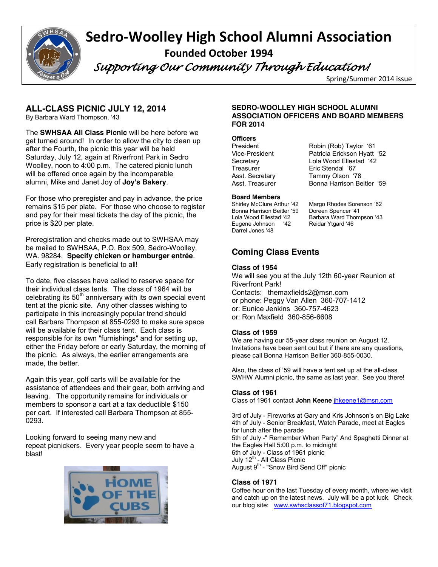

# **Sedro-Woolley High School Alumni Association Founded October 1994**

 *Supporting Our Community Through Education!* 

Spring/Summer 2014 issue

# **ALL-CLASS PICNIC JULY 12, 2014**

By Barbara Ward Thompson, '43

The **SWHSAA All Class Picnic** will be here before we get turned around! In order to allow the city to clean up after the Fourth, the picnic this year will be held Saturday, July 12, again at Riverfront Park in Sedro Woolley, noon to 4:00 p.m. The catered picnic lunch will be offered once again by the incomparable alumni, Mike and Janet Joy of **Joy's Bakery**.

For those who preregister and pay in advance, the price remains \$15 per plate. For those who choose to register and pay for their meal tickets the day of the picnic, the price is \$20 per plate.

Preregistration and checks made out to SWHSAA may be mailed to SWHSAA, P.O. Box 509, Sedro-Woolley, WA. 98284. **Specify chicken or hamburger entrée**. Early registration is beneficial to all!

To date, five classes have called to reserve space for their individual class tents. The class of 1964 will be celebrating its  $50<sup>th</sup>$  anniversary with its own special event tent at the picnic site. Any other classes wishing to participate in this increasingly popular trend should call Barbara Thompson at 855-0293 to make sure space will be available for their class tent. Each class is responsible for its own "furnishings" and for setting up, either the Friday before or early Saturday, the morning of the picnic. As always, the earlier arrangements are made, the better.

Again this year, golf carts will be available for the assistance of attendees and their gear, both arriving and leaving. The opportunity remains for individuals or members to sponsor a cart at a tax deductible \$150 per cart. If interested call Barbara Thompson at 855- 0293.

Looking forward to seeing many new and repeat picnickers. Every year people seem to have a blast!



#### **SEDRO-WOOLLEY HIGH SCHOOL ALUMNI ASSOCIATION OFFICERS AND BOARD MEMBERS FOR 2014**

# **Officers**

President Robin (Rob) Taylor '61 Patricia Erickson Hyatt '52 Secretary **Lola Wood Ellestad** '42 Treasurer **Eric Stendal** '67 Asst. Secretary Tammy Olson '78 Asst. Treasurer **Bonna Harrison Beitler** '59

**Board Members**<br>Shirley McClure Arthur '42 Bonna Harrison Beitler '59 Doreen Spencer '41 Eugene Johnson '42 Reidar Ytgard '46 Darrel Jones '48

Margo Rhodes Sorenson '62 Lola Wood Ellestad '42 Barbara Ward Thompson '43

# **Coming Class Events**

#### **Class of 1954**

We will see you at the July 12th 60-year Reunion at Riverfront Park! Contacts: themaxfields2@msn.com or phone: Peggy Van Allen 360-707-1412 or: Eunice Jenkins 360-757-4623 or: Ron Maxfield 360-856-6608

### **Class of 1959**

We are having our 55-year class reunion on August 12. Invitations have been sent out but if there are any questions, please call Bonna Harrison Beitler 360-855-0030.

Also, the class of '59 will have a tent set up at the all-class SWHW Alumni picnic, the same as last year. See you there!

#### **Class of 1961**

Class of 1961 contact **John Keene** jhkeene1@msn.com

3rd of July - Fireworks at Gary and Kris Johnson's on Big Lake 4th of July - Senior Breakfast, Watch Parade, meet at Eagles for lunch after the parade 5th of July -" Remember When Party" And Spaghetti Dinner at the Eagles Hall 5:00 p.m. to midnight 6th of July - Class of 1961 picnic July 12<sup>th</sup> - All Class Picnic August 9<sup>th</sup> - "Snow Bird Send Off" picnic

### **Class of 1971**

Coffee hour on the last Tuesday of every month, where we visit and catch up on the latest news. July will be a pot luck. Check our blog site: www.swhsclassof71.blogspot.com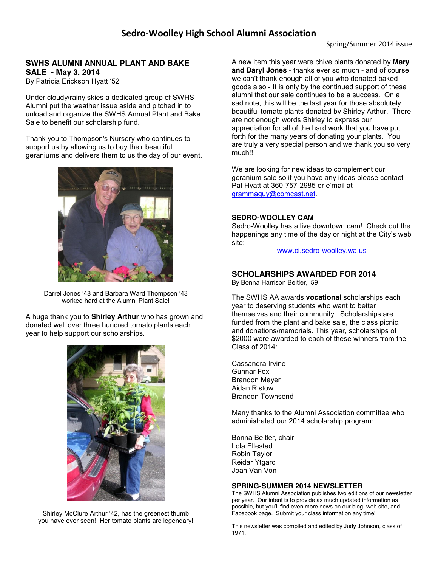# **SWHS ALUMNI ANNUAL PLANT AND BAKE SALE - May 3, 2014**

By Patricia Erickson Hyatt '52

Under cloudy/rainy skies a dedicated group of SWHS Alumni put the weather issue aside and pitched in to unload and organize the SWHS Annual Plant and Bake Sale to benefit our scholarship fund.

Thank you to Thompson's Nursery who continues to support us by allowing us to buy their beautiful geraniums and delivers them to us the day of our event.



Darrel Jones '48 and Barbara Ward Thompson '43 worked hard at the Alumni Plant Sale!

A huge thank you to **Shirley Arthur** who has grown and donated well over three hundred tomato plants each year to help support our scholarships.



Shirley McClure Arthur '42, has the greenest thumb you have ever seen! Her tomato plants are legendary! A new item this year were chive plants donated by **Mary and Daryl Jones** - thanks ever so much - and of course we can't thank enough all of you who donated baked goods also - It is only by the continued support of these alumni that our sale continues to be a success. On a sad note, this will be the last year for those absolutely beautiful tomato plants donated by Shirley Arthur. There are not enough words Shirley to express our appreciation for all of the hard work that you have put forth for the many years of donating your plants. You are truly a very special person and we thank you so very much!!

We are looking for new ideas to complement our geranium sale so if you have any ideas please contact Pat Hyatt at 360-757-2985 or e'mail at grammaguy@comcast.net.

#### **SEDRO-WOOLLEY CAM**

Sedro-Woolley has a live downtown cam! Check out the happenings any time of the day or night at the City's web site:

www.ci.sedro-woolley.wa.us

### **SCHOLARSHIPS AWARDED FOR 2014**

By Bonna Harrison Beitler, '59

The SWHS AA awards **vocational** scholarships each year to deserving students who want to better themselves and their community. Scholarships are funded from the plant and bake sale, the class picnic, and donations/memorials. This year, scholarships of \$2000 were awarded to each of these winners from the Class of 2014:

Cassandra Irvine Gunnar Fox Brandon Meyer Aidan Ristow Brandon Townsend

Many thanks to the Alumni Association committee who administrated our 2014 scholarship program:

Bonna Beitler, chair Lola Ellestad Robin Taylor Reidar Ytgard Joan Van Von

#### **SPRING-SUMMER 2014 NEWSLETTER**

The SWHS Alumni Association publishes two editions of our newsletter per year. Our intent is to provide as much updated information as possible, but you'll find even more news on our blog, web site, and Facebook page. Submit your class information any time!

This newsletter was compiled and edited by Judy Johnson, class of 1971.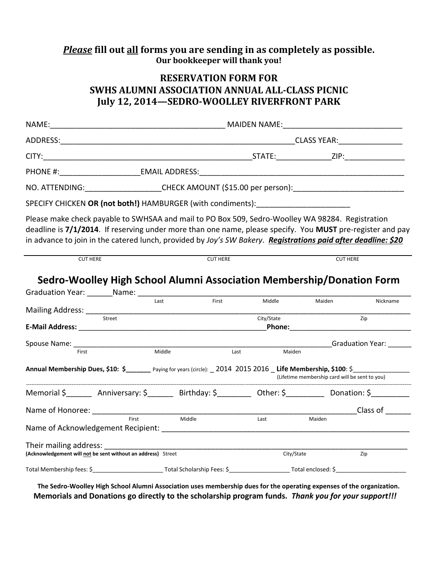# *Please* **fill out all forms you are sending in as completely as possible. Our bookkeeper will thank you!**

# **RESERVATION FORM FOR SWHS ALUMNI ASSOCIATION ANNUAL ALL-CLASS PICNIC July 12, 2014—SEDRO-WOOLLEY RIVERFRONT PARK**

|                                                              | NO. ATTENDING: _____________________CHECK AMOUNT (\$15.00 per person): _____________________________                                                                                                                                                                                                                            |            |                                                                                                                                                                                                                                            |                                     |
|--------------------------------------------------------------|---------------------------------------------------------------------------------------------------------------------------------------------------------------------------------------------------------------------------------------------------------------------------------------------------------------------------------|------------|--------------------------------------------------------------------------------------------------------------------------------------------------------------------------------------------------------------------------------------------|-------------------------------------|
|                                                              | SPECIFY CHICKEN OR (not both!) HAMBURGER (with condiments): ____________________                                                                                                                                                                                                                                                |            |                                                                                                                                                                                                                                            |                                     |
|                                                              | Please make check payable to SWHSAA and mail to PO Box 509, Sedro-Woolley WA 98284. Registration<br>deadline is 7/1/2014. If reserving under more than one name, please specify. You MUST pre-register and pay<br>in advance to join in the catered lunch, provided by Joy's SW Bakery. Registrations paid after deadline: \$20 |            |                                                                                                                                                                                                                                            |                                     |
| <b>CUT HERE</b>                                              | <b>CUT HERE</b>                                                                                                                                                                                                                                                                                                                 |            | <b>CUT HERE</b>                                                                                                                                                                                                                            |                                     |
|                                                              | Sedro-Woolley High School Alumni Association Membership/Donation Form                                                                                                                                                                                                                                                           |            |                                                                                                                                                                                                                                            |                                     |
|                                                              | First<br>Last                                                                                                                                                                                                                                                                                                                   | Middle     |                                                                                                                                                                                                                                            |                                     |
|                                                              |                                                                                                                                                                                                                                                                                                                                 |            | Maiden                                                                                                                                                                                                                                     | Nickname                            |
|                                                              |                                                                                                                                                                                                                                                                                                                                 | City/State | Zip<br><b>Phone:</b> The contract of the contract of the contract of the contract of the contract of the contract of the contract of the contract of the contract of the contract of the contract of the contract of the contract of the c |                                     |
| Spouse Name: _____________________                           |                                                                                                                                                                                                                                                                                                                                 |            |                                                                                                                                                                                                                                            | Graduation Year: Carrier Contractor |
| First                                                        | Middle<br>Last                                                                                                                                                                                                                                                                                                                  | Maiden     |                                                                                                                                                                                                                                            |                                     |
|                                                              | Annual Membership Dues, \$10: \$______ Paying for years (circle): _2014 2015 2016 _Life Membership, \$100: \$______________________________                                                                                                                                                                                     |            |                                                                                                                                                                                                                                            |                                     |
|                                                              |                                                                                                                                                                                                                                                                                                                                 |            | (Lifetime membership card will be sent to you)                                                                                                                                                                                             |                                     |
|                                                              | Memorial \$ _______ Anniversary: \$ _______ Birthday: \$ ________ Other: \$ ________ Donation: \$                                                                                                                                                                                                                               |            |                                                                                                                                                                                                                                            |                                     |
|                                                              |                                                                                                                                                                                                                                                                                                                                 |            |                                                                                                                                                                                                                                            | Class of                            |
|                                                              | First<br>Middle                                                                                                                                                                                                                                                                                                                 | Last       | Maiden                                                                                                                                                                                                                                     |                                     |
| (Acknowledgement will not be sent without an address) Street |                                                                                                                                                                                                                                                                                                                                 | City/State |                                                                                                                                                                                                                                            | Zip                                 |
|                                                              |                                                                                                                                                                                                                                                                                                                                 |            |                                                                                                                                                                                                                                            |                                     |

**The Sedro-Woolley High School Alumni Association uses membership dues for the operating expenses of the organization. Memorials and Donations go directly to the scholarship program funds.** *Thank you for your support!!!*